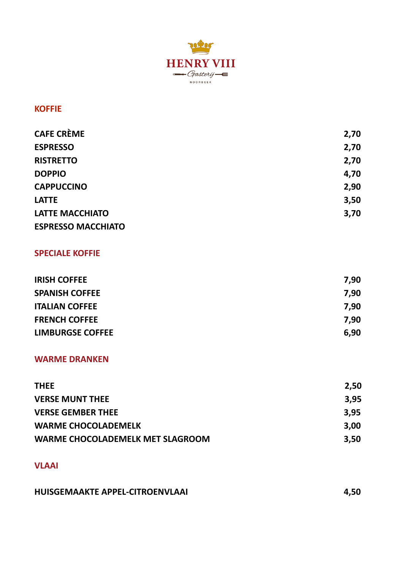

## **KOFFIE**

| <b>CAFE CRÈME</b>         | 2,70 |
|---------------------------|------|
| <b>ESPRESSO</b>           | 2,70 |
| <b>RISTRETTO</b>          | 2,70 |
| <b>DOPPIO</b>             | 4,70 |
| <b>CAPPUCCINO</b>         | 2,90 |
| <b>LATTE</b>              | 3,50 |
| <b>LATTE MACCHIATO</b>    | 3,70 |
| <b>ESPRESSO MACCHIATO</b> |      |

# **SPECIALE KOFFIE**

| <b>IRISH COFFEE</b>     | 7,90 |
|-------------------------|------|
| <b>SPANISH COFFEE</b>   | 7.90 |
| <b>ITALIAN COFFEE</b>   | 7.90 |
| <b>FRENCH COFFEE</b>    | 7.90 |
| <b>LIMBURGSE COFFEE</b> | 6.90 |

## **WARME DRANKEN**

| <b>THEE</b>                      | 2.50 |
|----------------------------------|------|
| <b>VERSE MUNT THEE</b>           | 3.95 |
| <b>VERSE GEMBER THEE</b>         | 3.95 |
| <b>WARME CHOCOLADEMELK</b>       | 3.00 |
| WARME CHOCOLADEMELK MET SLAGROOM | 3.50 |

## **VLAAI**

| HUISGEMAAKTE APPEL-CITROENVLAAI | 4,50 |
|---------------------------------|------|
|                                 |      |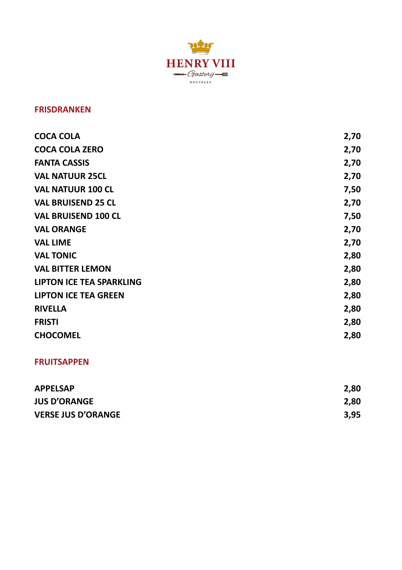

#### **FRISDRANKEN**

| COCA COLA                       | 2,70 |
|---------------------------------|------|
| <b>COCA COLA ZERO</b>           | 2,70 |
| <b>FANTA CASSIS</b>             | 2,70 |
| <b>VAL NATUUR 25CL</b>          | 2,70 |
| <b>VAL NATUUR 100 CL</b>        | 7,50 |
| <b>VAL BRUISEND 25 CL</b>       | 2,70 |
| <b>VAL BRUISEND 100 CL</b>      | 7,50 |
| <b>VAL ORANGE</b>               | 2,70 |
| <b>VAL LIME</b>                 | 2,70 |
| <b>VAL TONIC</b>                | 2,80 |
| <b>VAL BITTER LEMON</b>         | 2,80 |
| <b>LIPTON ICE TEA SPARKLING</b> | 2,80 |
| <b>LIPTON ICE TEA GREEN</b>     | 2,80 |
| <b>RIVELLA</b>                  | 2,80 |
| <b>FRISTI</b>                   | 2,80 |
| <b>CHOCOMEL</b>                 | 2,80 |
|                                 |      |

#### **FRUITSAPPEN**

| <b>APPELSAP</b>           | 2,80 |
|---------------------------|------|
| <b>JUS D'ORANGE</b>       | 2,80 |
| <b>VERSE JUS D'ORANGE</b> | 3,95 |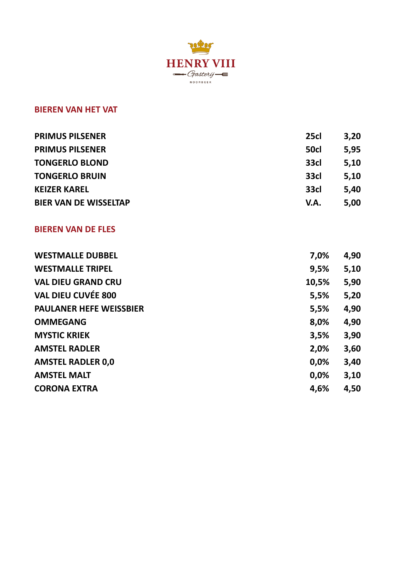

#### **BIEREN VAN HET VAT**

| 25cl | 3.20 |
|------|------|
| 50cl | 5.95 |
| 33cl | 5.10 |
| 33cl | 5.10 |
| 33cl | 5.40 |
| V.A. | 5.00 |
|      |      |

#### **BIEREN VAN DE FLES**

| <b>WESTMALLE DUBBEL</b><br>7.0%        | 4,90 |
|----------------------------------------|------|
| <b>WESTMALLE TRIPEL</b><br>9,5%        | 5,10 |
| <b>VAL DIEU GRAND CRU</b><br>10,5%     | 5,90 |
| <b>VAL DIEU CUVÉE 800</b><br>5,5%      | 5,20 |
| <b>PAULANER HEFE WEISSBIER</b><br>5,5% | 4,90 |
| <b>OMMEGANG</b><br>8,0%                | 4,90 |
| <b>MYSTIC KRIEK</b><br>3,5%            | 3,90 |
| 2.0%<br><b>AMSTEL RADLER</b>           | 3,60 |
| <b>AMSTEL RADLER 0,0</b><br>0,0%       | 3,40 |
| <b>AMSTEL MALT</b><br>0.0%             | 3,10 |
| <b>CORONA EXTRA</b><br>4.6%            | 4,50 |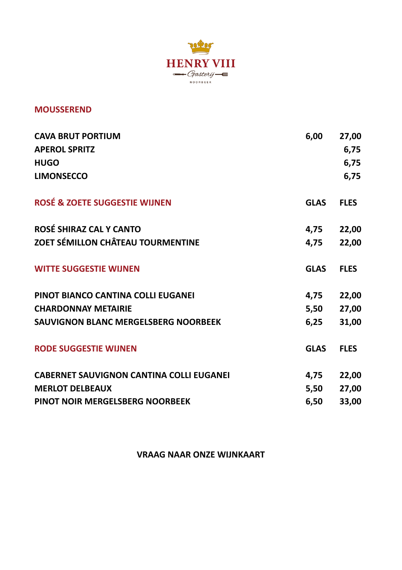

#### **MOUSSEREND**

| <b>CAVA BRUT PORTIUM</b><br><b>APEROL SPRITZ</b><br><b>HUGO</b><br><b>LIMONSECCO</b>                         | 6,00                 | 27,00<br>6,75<br>6,75<br>6,75 |
|--------------------------------------------------------------------------------------------------------------|----------------------|-------------------------------|
| <b>ROSÉ &amp; ZOETE SUGGESTIE WIJNEN</b>                                                                     | <b>GLAS</b>          | <b>FLES</b>                   |
| ROSÉ SHIRAZ CAL Y CANTO<br>ZOET SÉMILLON CHÂTEAU TOURMENTINE                                                 | 4,75<br>4,75         | 22,00<br>22,00                |
| <b>WITTE SUGGESTIE WIJNEN</b>                                                                                | <b>GLAS</b>          | <b>FLES</b>                   |
| PINOT BIANCO CANTINA COLLI EUGANEI<br><b>CHARDONNAY METAIRIE</b><br>SAUVIGNON BLANC MERGELSBERG NOORBEEK     | 4,75<br>5,50<br>6,25 | 22,00<br>27,00<br>31,00       |
| <b>RODE SUGGESTIE WIJNEN</b>                                                                                 | <b>GLAS</b>          | <b>FLES</b>                   |
| <b>CABERNET SAUVIGNON CANTINA COLLI EUGANEI</b><br><b>MERLOT DELBEAUX</b><br>PINOT NOIR MERGELSBERG NOORBEEK | 4,75<br>5,50<br>6,50 | 22,00<br>27,00<br>33,00       |

**VRAAG NAAR ONZE WIJNKAART**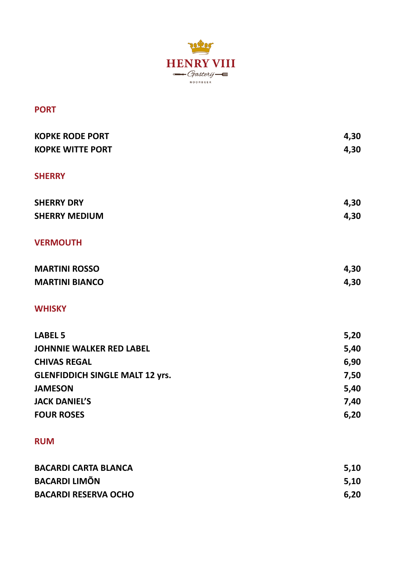

#### **PORT**

| <b>KOPKE RODE PORT</b>                 | 4,30 |
|----------------------------------------|------|
| <b>KOPKE WITTE PORT</b>                | 4,30 |
| <b>SHERRY</b>                          |      |
| <b>SHERRY DRY</b>                      | 4,30 |
| <b>SHERRY MEDIUM</b>                   | 4,30 |
| <b>VERMOUTH</b>                        |      |
| <b>MARTINI ROSSO</b>                   | 4,30 |
| <b>MARTINI BIANCO</b>                  | 4,30 |
| <b>WHISKY</b>                          |      |
| <b>LABEL 5</b>                         | 5,20 |
| <b>JOHNNIE WALKER RED LABEL</b>        | 5,40 |
| <b>CHIVAS REGAL</b>                    | 6,90 |
| <b>GLENFIDDICH SINGLE MALT 12 yrs.</b> | 7,50 |
| <b>JAMESON</b>                         | 5,40 |
| <b>JACK DANIEL'S</b>                   | 7,40 |
| <b>FOUR ROSES</b>                      | 6,20 |
| <b>RUM</b>                             |      |
| <b>BACARDI CARTA BLANCA</b>            | 5,10 |
| <b>BACARDI LIMÕN</b>                   | 5,10 |

**BACARDI RESERVA OCHO** 6,20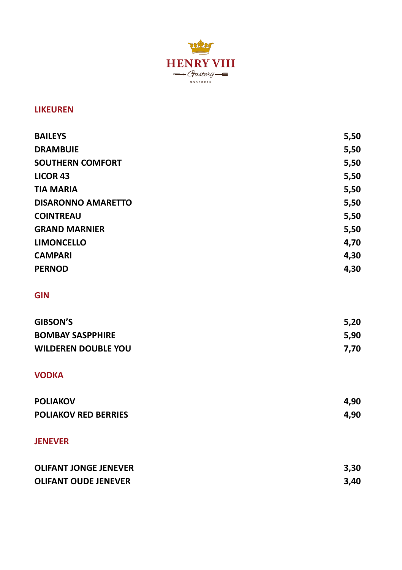

#### **LIKEUREN**

| <b>BAILEYS</b>               | 5,50 |
|------------------------------|------|
| <b>DRAMBUIE</b>              | 5,50 |
| <b>SOUTHERN COMFORT</b>      | 5,50 |
| <b>LICOR 43</b>              | 5,50 |
| <b>TIA MARIA</b>             | 5,50 |
| <b>DISARONNO AMARETTO</b>    | 5,50 |
| <b>COINTREAU</b>             | 5,50 |
| <b>GRAND MARNIER</b>         | 5,50 |
| <b>LIMONCELLO</b>            | 4,70 |
| <b>CAMPARI</b>               | 4,30 |
| <b>PERNOD</b>                | 4,30 |
| <b>GIN</b>                   |      |
| <b>GIBSON'S</b>              | 5,20 |
| <b>BOMBAY SASPPHIRE</b>      | 5,90 |
| <b>WILDEREN DOUBLE YOU</b>   | 7,70 |
| <b>VODKA</b>                 |      |
| <b>POLIAKOV</b>              | 4,90 |
| <b>POLIAKOV RED BERRIES</b>  | 4,90 |
| <b>JENEVER</b>               |      |
| <b>OLIFANT JONGE JENEVER</b> | 3,30 |
| <b>OLIFANT OUDE JENEVER</b>  | 3,40 |